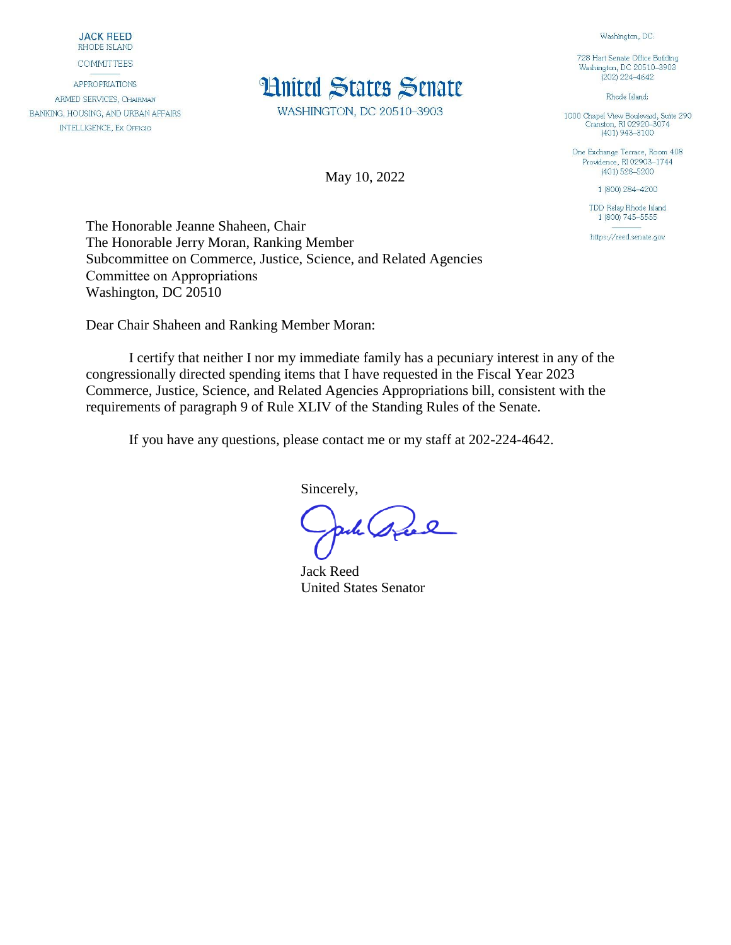**JACK REED** RHODE ISLAND

**COMMITTEES** 

**APPROPRIATIONS** ARMED SERVICES, CHAIRMAN BANKING, HOUSING, AND URBAN AFFAIRS **INTELLIGENCE, EX OFFICIO** 

## **Hnited States Senate**

WASHINGTON, DC 20510-3903

May 10, 2022

Washington, DC: 728 Hart Senate Office Building

Washington, DC 20510-3903  $(202)$  224-4642

Rhode Island:

1000 Chapel View Boulevard, Suite 290<br>Cranston, RI 02920-3074  $(401)$  943-3100

One Exchange Terrace, Room 408 Providence, RI 02903-1744  $(401)$  528-5200

1 (800) 284-4200

TDD Relay Rhode Island 1 (800) 745-5555

https://reed.senate.gov

The Honorable Jeanne Shaheen, Chair The Honorable Jerry Moran, Ranking Member Subcommittee on Commerce, Justice, Science, and Related Agencies Committee on Appropriations Washington, DC 20510

Dear Chair Shaheen and Ranking Member Moran:

I certify that neither I nor my immediate family has a pecuniary interest in any of the congressionally directed spending items that I have requested in the Fiscal Year 2023 Commerce, Justice, Science, and Related Agencies Appropriations bill, consistent with the requirements of paragraph 9 of Rule XLIV of the Standing Rules of the Senate.

If you have any questions, please contact me or my staff at 202-224-4642.

Sincerely,

ach gree

Jack Reed United States Senator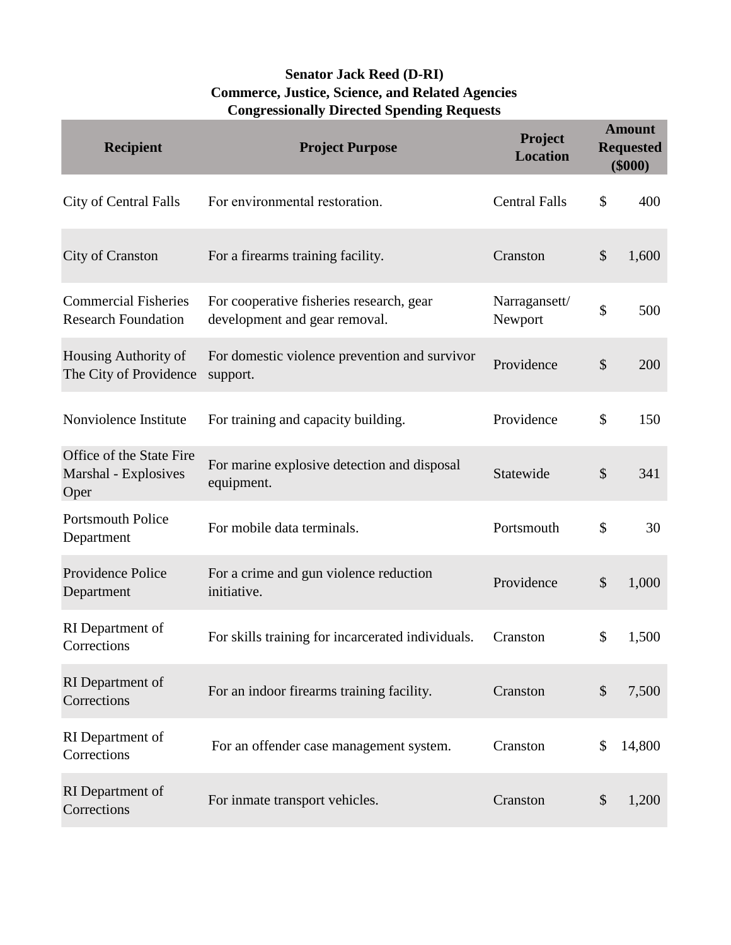## **Senator Jack Reed (D-RI) Commerce, Justice, Science, and Related Agencies Congressionally Directed Spending Requests**

| <b>Recipient</b>                                          | <b>Project Purpose</b>                                                    | Project<br><b>Location</b> |               | <b>Amount</b><br><b>Requested</b><br>$(\$000)$ |
|-----------------------------------------------------------|---------------------------------------------------------------------------|----------------------------|---------------|------------------------------------------------|
| City of Central Falls                                     | For environmental restoration.                                            | <b>Central Falls</b>       | \$            | 400                                            |
| <b>City of Cranston</b>                                   | For a firearms training facility.                                         | Cranston                   | \$            | 1,600                                          |
| <b>Commercial Fisheries</b><br><b>Research Foundation</b> | For cooperative fisheries research, gear<br>development and gear removal. | Narragansett/<br>Newport   | \$            | 500                                            |
| Housing Authority of<br>The City of Providence            | For domestic violence prevention and survivor<br>support.                 | Providence                 | \$            | 200                                            |
| Nonviolence Institute                                     | For training and capacity building.                                       | Providence                 | \$            | 150                                            |
| Office of the State Fire<br>Marshal - Explosives<br>Oper  | For marine explosive detection and disposal<br>equipment.                 | Statewide                  | \$            | 341                                            |
| <b>Portsmouth Police</b><br>Department                    | For mobile data terminals.                                                | Portsmouth                 | \$            | 30                                             |
| Providence Police<br>Department                           | For a crime and gun violence reduction<br>initiative.                     | Providence                 | \$            | 1,000                                          |
| RI Department of<br>Corrections                           | For skills training for incarcerated individuals.                         | Cranston                   | \$            | 1,500                                          |
| RI Department of<br>Corrections                           | For an indoor firearms training facility.                                 | Cranston                   | $\mathcal{S}$ | 7,500                                          |
| RI Department of<br>Corrections                           | For an offender case management system.                                   | Cranston                   | \$            | 14,800                                         |
| RI Department of<br>Corrections                           | For inmate transport vehicles.                                            | Cranston                   | \$            | 1,200                                          |